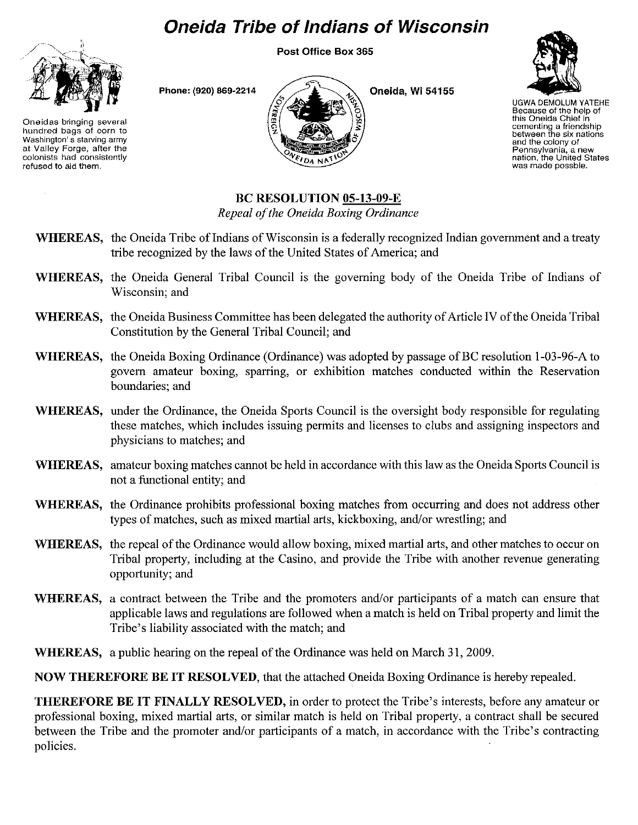## **Oneida Tribe of Indians of Wisconsin**

Post Office Box 365



Phone: (920) 869·2214



Oneida, Wi 54155



UGWA DEMOLUM YATEHE Because of the help of this Oneida Chief in cementing a friendship between the six nations and the colony of Pennsylvania, <sup>a</sup> new nation, the United States was made possble.

Oneidas bringing several hundred bags of corn to Washington's starving army at Valley Forge, after the colonists had consistently refused to aid them.

## BC RESOLUTION 05-13-09-E

*Repeal ofthe Oneida Boxing Ordinance*

- WHEREAS, the Oneida Tribe of Indians of Wisconsin is a federally recognized Indian government and a treaty tribe recognized by the laws of the United States of America; and
- WHEREAS, the Oneida General Tribal Council is the governing body of the Oneida Tribe of Indians of Wisconsin; and
- WHEREAS, the Oneida Business Committee has been delegated the authority of Article IV of the Oneida Tribal Constitution by the General Tribal Council; and
- WHEREAS, the Oneida Boxing Ordinance (Ordinance) was adopted by passage of BC resolution 1-03-96-A to govern amateur boxing, sparring, or exhibition matches conducted within the Reservation boundaries; and
- WHEREAS, under the Ordinance, the Oneida Sports Council is the oversight body responsible for regulating these matches, which includes issuing permits and licenses to clubs and assigning inspectors and physicians to matches; and
- WHEREAS, amateur boxing matches cannot be held in accordance with this law as the Oneida Sports Council is not a functional entity; and
- WHEREAS, the Ordinance prohibits professional boxing matches from occurring and does not address other types of matches, such as mixed martial arts, kickboxing, and/or wrestling; and
- WHEREAS, the repeal of the Ordinance would allow boxing, mixed martial arts, and other matches to occur on Tribal property, including at the Casino, and provide the Tribe with another revenue generating opportunity; and
- WHEREAS, a contract between the Tribe and the promoters and/or participants of a match can ensure that applicable laws and regulations are followed when a match is held on Tribal property and limit the Tribe's liability associated with the match; and
- WHEREAS, a public hearing on the repeal of the Ordinance was held on March 31, 2009.

NOW THEREFORE BE IT RESOLVED, that the attached Oneida Boxing Ordinance is hereby repealed.

THEREFORE BE IT FINALLY RESOLVED, in order to protect the Tribe's interests, before any amateur or professional boxing, mixed martial arts, or similar match is held on Tribal property, a contract shall be secured between the Tribe and the promoter and/or participants of a match, in accordance with the Tribe's contracting policies.